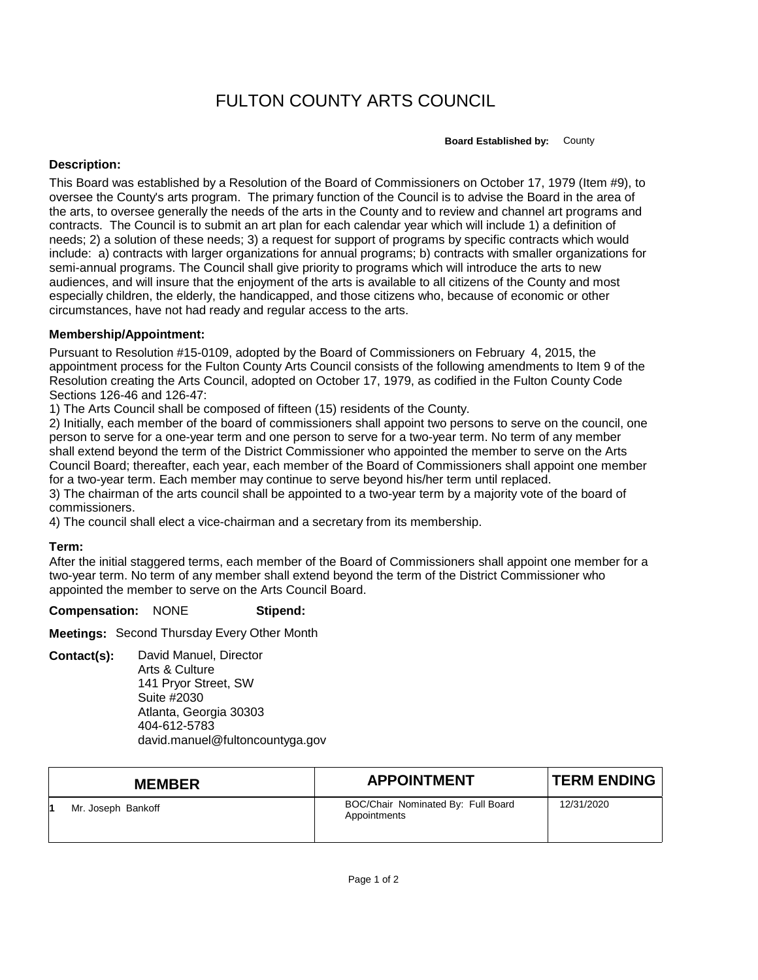# FULTON COUNTY ARTS COUNCIL

**Board Established by:** County

## **Description:**

This Board was established by a Resolution of the Board of Commissioners on October 17, 1979 (Item #9), to oversee the County's arts program. The primary function of the Council is to advise the Board in the area of the arts, to oversee generally the needs of the arts in the County and to review and channel art programs and contracts. The Council is to submit an art plan for each calendar year which will include 1) a definition of needs; 2) a solution of these needs; 3) a request for support of programs by specific contracts which would include: a) contracts with larger organizations for annual programs; b) contracts with smaller organizations for semi-annual programs. The Council shall give priority to programs which will introduce the arts to new audiences, and will insure that the enjoyment of the arts is available to all citizens of the County and most especially children, the elderly, the handicapped, and those citizens who, because of economic or other circumstances, have not had ready and regular access to the arts.

## **Membership/Appointment:**

Pursuant to Resolution #15-0109, adopted by the Board of Commissioners on February 4, 2015, the appointment process for the Fulton County Arts Council consists of the following amendments to Item 9 of the Resolution creating the Arts Council, adopted on October 17, 1979, as codified in the Fulton County Code Sections 126-46 and 126-47:

1) The Arts Council shall be composed of fifteen (15) residents of the County.

2) Initially, each member of the board of commissioners shall appoint two persons to serve on the council, one person to serve for a one-year term and one person to serve for a two-year term. No term of any member shall extend beyond the term of the District Commissioner who appointed the member to serve on the Arts Council Board; thereafter, each year, each member of the Board of Commissioners shall appoint one member for a two-year term. Each member may continue to serve beyond his/her term until replaced.

3) The chairman of the arts council shall be appointed to a two-year term by a majority vote of the board of commissioners.

4) The council shall elect a vice-chairman and a secretary from its membership.

## **Term:**

After the initial staggered terms, each member of the Board of Commissioners shall appoint one member for a two-year term. No term of any member shall extend beyond the term of the District Commissioner who appointed the member to serve on the Arts Council Board.

### **Compensation:** NONE **Stipend:**

**Meetings:** Second Thursday Every Other Month

**Contact(s):** David Manuel, Director Arts & Culture

141 Pryor Street, SW Suite #2030 Atlanta, Georgia 30303 404-612-5783 david.manuel@fultoncountyga.gov

| <b>MEMBER</b>      | <b>APPOINTMENT</b>                                 | <b>TERM ENDING</b> |
|--------------------|----------------------------------------------------|--------------------|
| Mr. Joseph Bankoff | BOC/Chair Nominated By: Full Board<br>Appointments | 12/31/2020         |